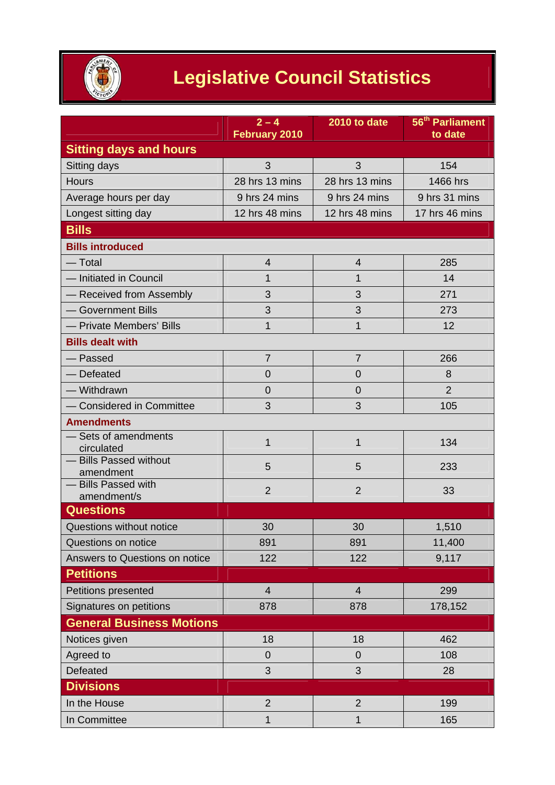

## **Legislative Council Statistics**

|                                     | $2 - 4$<br><b>February 2010</b> | 2010 to date   | 56 <sup>th</sup> Parliament<br>to date |
|-------------------------------------|---------------------------------|----------------|----------------------------------------|
| <b>Sitting days and hours</b>       |                                 |                |                                        |
| Sitting days                        | 3                               | 3              | 154                                    |
| Hours                               | 28 hrs 13 mins                  | 28 hrs 13 mins | 1466 hrs                               |
| Average hours per day               | 9 hrs 24 mins                   | 9 hrs 24 mins  | 9 hrs 31 mins                          |
| Longest sitting day                 | 12 hrs 48 mins                  | 12 hrs 48 mins | 17 hrs 46 mins                         |
| <b>Bills</b>                        |                                 |                |                                        |
| <b>Bills introduced</b>             |                                 |                |                                        |
| $-$ Total                           | $\overline{4}$                  | $\overline{4}$ | 285                                    |
| - Initiated in Council              | 1                               | 1              | 14                                     |
| - Received from Assembly            | 3                               | 3              | 271                                    |
| - Government Bills                  | 3                               | 3              | 273                                    |
| - Private Members' Bills            | $\mathbf{1}$                    | $\mathbf{1}$   | 12                                     |
| <b>Bills dealt with</b>             |                                 |                |                                        |
| Passed                              | $\overline{7}$                  | $\overline{7}$ | 266                                    |
| - Defeated                          | $\overline{0}$                  | $\overline{0}$ | 8                                      |
| - Withdrawn                         | $\overline{0}$                  | $\mathbf 0$    | $\overline{2}$                         |
| - Considered in Committee           | 3                               | 3              | 105                                    |
| <b>Amendments</b>                   |                                 |                |                                        |
| Sets of amendments<br>circulated    | 1                               | 1              | 134                                    |
| - Bills Passed without<br>amendment | 5                               | 5              | 233                                    |
| - Bills Passed with<br>amendment/s  | $\overline{2}$                  | $\overline{2}$ | 33                                     |
| <b>Questions</b>                    |                                 |                |                                        |
| Questions without notice            | 30                              | 30             | 1,510                                  |
| Questions on notice                 | 891                             | 891            | 11,400                                 |
| Answers to Questions on notice      | 122                             | 122            | 9,117                                  |
| <b>Petitions</b>                    |                                 |                |                                        |
| Petitions presented                 | $\overline{4}$                  | $\overline{4}$ | 299                                    |
| Signatures on petitions             | 878                             | 878            | 178,152                                |
| <b>General Business Motions</b>     |                                 |                |                                        |
| Notices given                       | 18                              | 18             | 462                                    |
| Agreed to                           | $\overline{0}$                  | $\overline{0}$ | 108                                    |
| Defeated                            | 3                               | 3              | 28                                     |
| <b>Divisions</b>                    |                                 |                |                                        |
| In the House                        | $\overline{2}$                  | $\overline{2}$ | 199                                    |
| In Committee                        | 1                               | 1              | 165                                    |